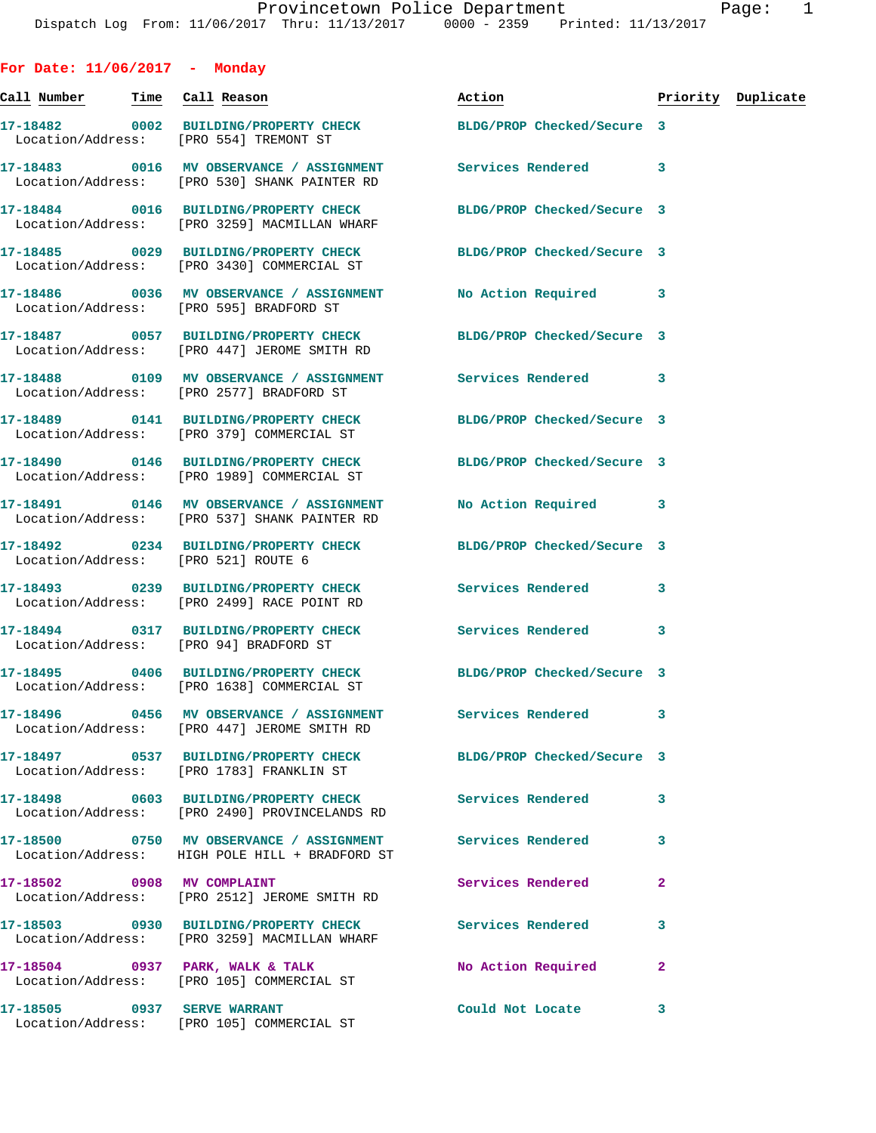| For Date: $11/06/2017$ - Monday        |                                                                                                                |                            |                |                    |
|----------------------------------------|----------------------------------------------------------------------------------------------------------------|----------------------------|----------------|--------------------|
| <u>Call Number — Time Call Reason</u>  |                                                                                                                | Action                     |                | Priority Duplicate |
| Location/Address: [PRO 554] TREMONT ST | 17-18482 0002 BUILDING/PROPERTY CHECK BLDG/PROP Checked/Secure 3                                               |                            |                |                    |
|                                        | 17-18483 0016 MV OBSERVANCE / ASSIGNMENT Services Rendered<br>Location/Address: [PRO 530] SHANK PAINTER RD     |                            | 3              |                    |
|                                        | 17-18484 0016 BUILDING/PROPERTY CHECK<br>Location/Address: [PRO 3259] MACMILLAN WHARF                          | BLDG/PROP Checked/Secure 3 |                |                    |
|                                        | 17-18485 0029 BUILDING/PROPERTY CHECK BLDG/PROP Checked/Secure 3<br>Location/Address: [PRO 3430] COMMERCIAL ST |                            |                |                    |
|                                        | 17-18486 0036 MV OBSERVANCE / ASSIGNMENT<br>Location/Address: [PRO 595] BRADFORD ST                            | No Action Required 3       |                |                    |
|                                        | 17-18487 0057 BUILDING/PROPERTY CHECK<br>Location/Address: [PRO 447] JEROME SMITH RD                           | BLDG/PROP Checked/Secure 3 |                |                    |
|                                        | 17-18488   0109 MV OBSERVANCE / ASSIGNMENT   Services Rendered<br>Location/Address: [PRO 2577] BRADFORD ST     |                            | 3              |                    |
|                                        | 17-18489 0141 BUILDING/PROPERTY CHECK<br>Location/Address: [PRO 379] COMMERCIAL ST                             | BLDG/PROP Checked/Secure 3 |                |                    |
|                                        | 17-18490 0146 BUILDING/PROPERTY CHECK<br>Location/Address: [PRO 1989] COMMERCIAL ST                            | BLDG/PROP Checked/Secure 3 |                |                    |
|                                        | 17-18491 0146 MV OBSERVANCE / ASSIGNMENT<br>Location/Address: [PRO 537] SHANK PAINTER RD                       | No Action Required 3       |                |                    |
| Location/Address: [PRO 521] ROUTE 6    | 17-18492 0234 BUILDING/PROPERTY CHECK BLDG/PROP Checked/Secure 3                                               |                            |                |                    |
|                                        | 17-18493 0239 BUILDING/PROPERTY CHECK Services Rendered<br>Location/Address: [PRO 2499] RACE POINT RD          |                            | 3              |                    |
|                                        | 17-18494 0317 BUILDING/PROPERTY CHECK Services Rendered<br>Location/Address: [PRO 94] BRADFORD ST              |                            | 3              |                    |
|                                        | 17-18495 0406 BUILDING/PROPERTY CHECK BLDG/PROP Checked/Secure 3<br>Location/Address: [PRO 1638] COMMERCIAL ST |                            |                |                    |
|                                        | 17-18496 0456 MV OBSERVANCE / ASSIGNMENT<br>Location/Address: [PRO 447] JEROME SMITH RD                        | Services Rendered          | 3              |                    |
|                                        | Location/Address: [PRO 1783] FRANKLIN ST                                                                       | BLDG/PROP Checked/Secure 3 |                |                    |
|                                        | 17-18498 0603 BUILDING/PROPERTY CHECK<br>Location/Address: [PRO 2490] PROVINCELANDS RD                         | Services Rendered          | 3              |                    |
|                                        | 17-18500 0750 MV OBSERVANCE / ASSIGNMENT<br>Location/Address: HIGH POLE HILL + BRADFORD ST                     | <b>Services Rendered</b>   | 3              |                    |
| 17-18502 0908 MV COMPLAINT             | Location/Address: [PRO 2512] JEROME SMITH RD                                                                   | Services Rendered          | $\overline{a}$ |                    |
|                                        | 17-18503 0930 BUILDING/PROPERTY CHECK<br>Location/Address: [PRO 3259] MACMILLAN WHARF                          | Services Rendered          | 3              |                    |
|                                        | 17-18504 0937 PARK, WALK & TALK<br>Location/Address: [PRO 105] COMMERCIAL ST                                   | No Action Required         | $\mathbf{2}$   |                    |
| 17-18505 0937 SERVE WARRANT            | Location/Address: [PRO 105] COMMERCIAL ST                                                                      | Could Not Locate           | 3              |                    |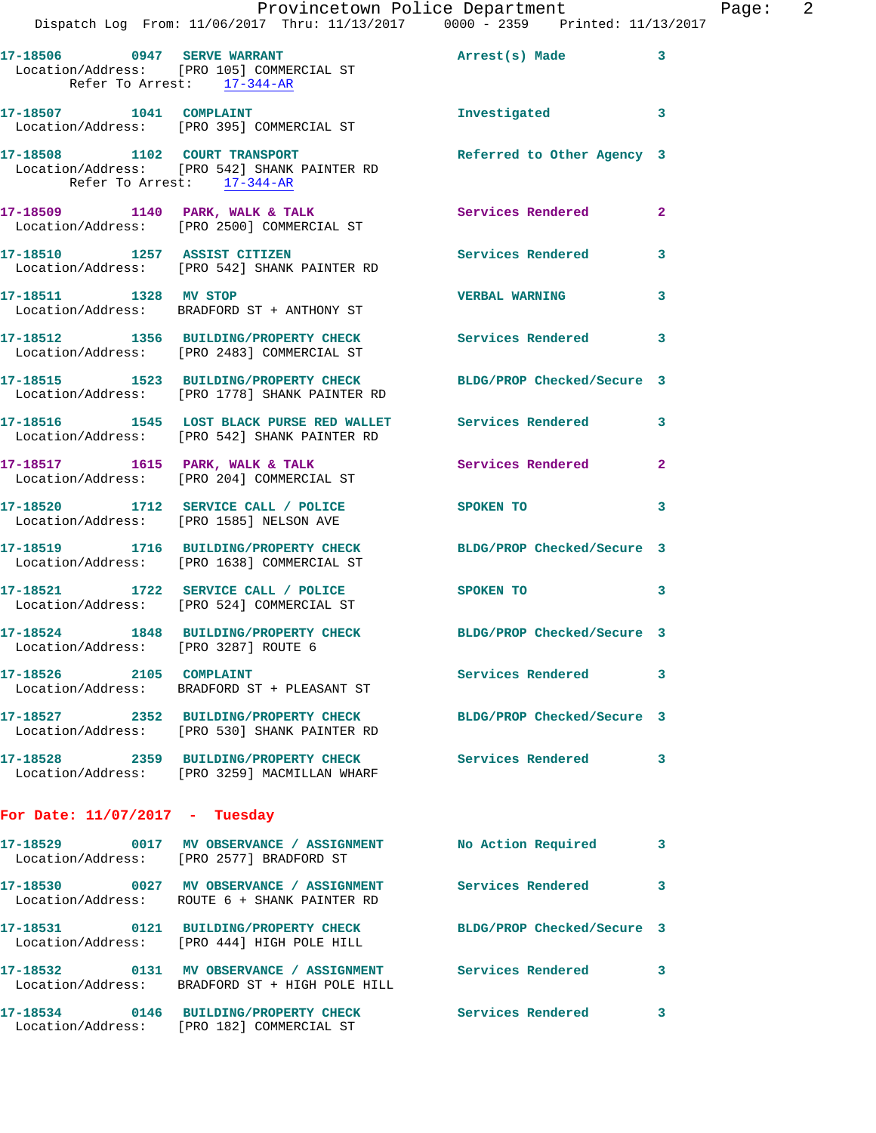|                                      | Provincetown Police Department                                                                                   |                            |                |
|--------------------------------------|------------------------------------------------------------------------------------------------------------------|----------------------------|----------------|
|                                      | Dispatch Log From: 11/06/2017 Thru: 11/13/2017 0000 - 2359 Printed: 11/13/2017                                   |                            |                |
| Refer To Arrest: 17-344-AR           | 17-18506 0947 SERVE WARRANT<br>Location/Address: [PRO 105] COMMERCIAL ST                                         | Arrest(s) Made             | 3              |
|                                      | 17-18507 1041 COMPLAINT<br>Location/Address: [PRO 395] COMMERCIAL ST                                             | Investigated               | 3              |
| Refer To Arrest: 17-344-AR           | 17-18508 1102 COURT TRANSPORT<br>Location/Address: [PRO 542] SHANK PAINTER RD                                    | Referred to Other Agency 3 |                |
|                                      | 17-18509 1140 PARK, WALK & TALK<br>Location/Address: [PRO 2500] COMMERCIAL ST                                    | <b>Services Rendered</b>   | $\mathbf{2}$   |
|                                      | 17-18510 1257 ASSIST CITIZEN<br>Location/Address: [PRO 542] SHANK PAINTER RD                                     | Services Rendered          | 3              |
| 17-18511 1328 MV STOP                | Location/Address: BRADFORD ST + ANTHONY ST                                                                       | <b>VERBAL WARNING</b>      | 3              |
|                                      | 17-18512 1356 BUILDING/PROPERTY CHECK Services Rendered<br>Location/Address: [PRO 2483] COMMERCIAL ST            |                            | 3              |
|                                      | 17-18515 1523 BUILDING/PROPERTY CHECK<br>Location/Address: [PRO 1778] SHANK PAINTER RD                           | BLDG/PROP Checked/Secure 3 |                |
|                                      | 17-18516 1545 LOST BLACK PURSE RED WALLET Services Rendered<br>Location/Address: [PRO 542] SHANK PAINTER RD      |                            | 3              |
|                                      | 17-18517 1615 PARK, WALK & TALK<br>Location/Address: [PRO 204] COMMERCIAL ST                                     | <b>Services Rendered</b>   | $\overline{a}$ |
|                                      | 17-18520 1712 SERVICE CALL / POLICE<br>Location/Address: [PRO 1585] NELSON AVE                                   | SPOKEN TO                  | 3              |
|                                      | 17-18519 1716 BUILDING/PROPERTY CHECK<br>Location/Address: [PRO 1638] COMMERCIAL ST                              | BLDG/PROP Checked/Secure 3 |                |
|                                      | 17-18521 1722 SERVICE CALL / POLICE<br>Location/Address: [PRO 524] COMMERCIAL ST                                 | SPOKEN TO                  | 3              |
| Location/Address: [PRO 3287] ROUTE 6 | 17-18524 1848 BUILDING/PROPERTY CHECK BLDG/PROP Checked/Secure 3                                                 |                            |                |
| 17-18526 2105 COMPLAINT              | Location/Address: BRADFORD ST + PLEASANT ST                                                                      | Services Rendered          | 3              |
|                                      | 17-18527 2352 BUILDING/PROPERTY CHECK BLDG/PROP Checked/Secure 3<br>Location/Address: [PRO 530] SHANK PAINTER RD |                            |                |
|                                      | 17-18528 2359 BUILDING/PROPERTY CHECK Services Rendered<br>Location/Address: [PRO 3259] MACMILLAN WHARF          |                            | 3              |
| For Date: $11/07/2017$ - Tuesday     |                                                                                                                  |                            |                |
|                                      | 17-18529 0017 MV OBSERVANCE / ASSIGNMENT No Action Required<br>Location/Address: [PRO 2577] BRADFORD ST          |                            | 3              |
|                                      | Location/Address: ROUTE 6 + SHANK PAINTER RD                                                                     |                            | 3              |
|                                      | 17-18531 0121 BUILDING/PROPERTY CHECK<br>Location/Address: [PRO 444] HIGH POLE HILL                              | BLDG/PROP Checked/Secure 3 |                |
|                                      | 17-18532 0131 MV OBSERVANCE / ASSIGNMENT Services Rendered<br>Location/Address: BRADFORD ST + HIGH POLE HILL     |                            | 3              |
|                                      | 17-18534 0146 BUILDING/PROPERTY CHECK                                                                            | <b>Services Rendered</b>   | 3              |

Location/Address: [PRO 182] COMMERCIAL ST

Page: 2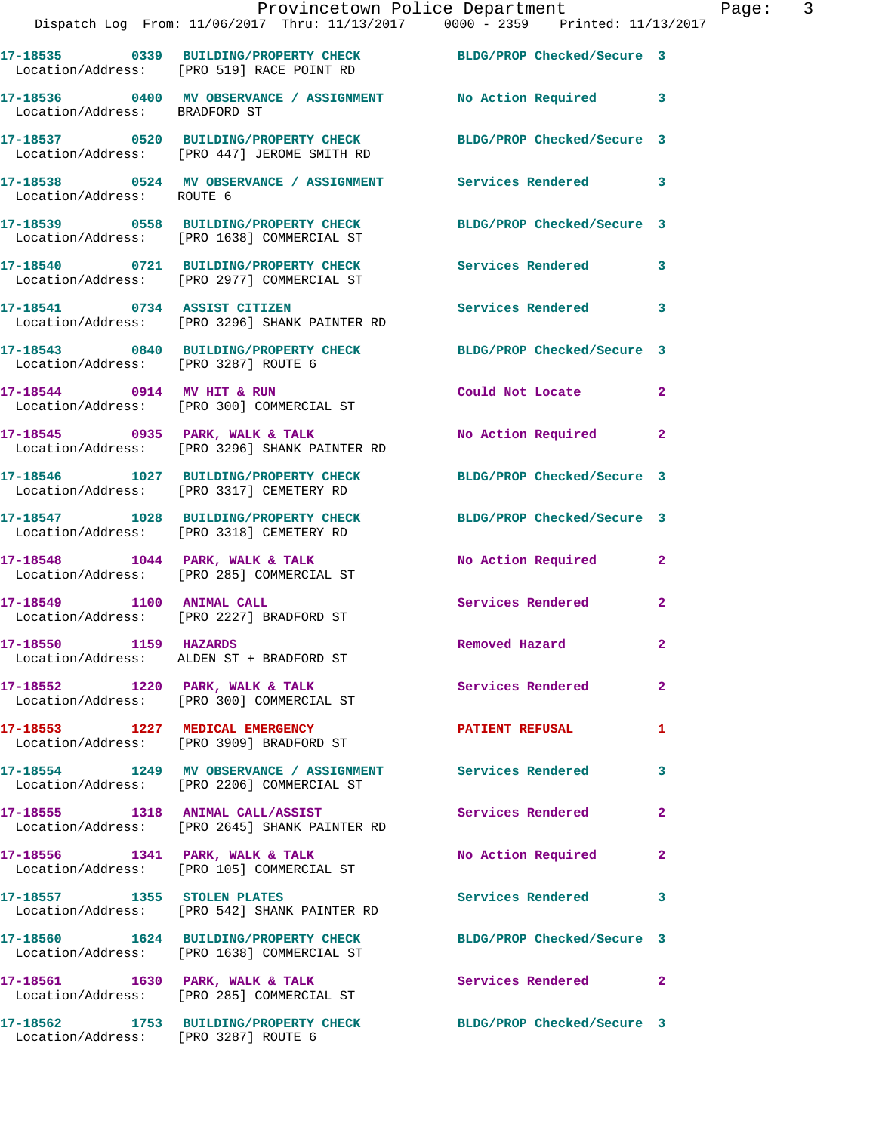|                                      | Provincetown Police Department<br>Dispatch Log From: 11/06/2017 Thru: 11/13/2017 0000 - 2359 Printed: 11/13/2017 |                            |                |
|--------------------------------------|------------------------------------------------------------------------------------------------------------------|----------------------------|----------------|
|                                      | 17-18535 0339 BUILDING/PROPERTY CHECK BLDG/PROP Checked/Secure 3<br>Location/Address: [PRO 519] RACE POINT RD    |                            |                |
| Location/Address: BRADFORD ST        | 17-18536 0400 MV OBSERVANCE / ASSIGNMENT No Action Required                                                      |                            | 3              |
|                                      | 17-18537 0520 BUILDING/PROPERTY CHECK<br>Location/Address: [PRO 447] JEROME SMITH RD                             | BLDG/PROP Checked/Secure 3 |                |
| Location/Address: ROUTE 6            | 17-18538 0524 MV OBSERVANCE / ASSIGNMENT Services Rendered                                                       |                            | 3              |
|                                      | 17-18539 0558 BUILDING/PROPERTY CHECK<br>Location/Address: [PRO 1638] COMMERCIAL ST                              | BLDG/PROP Checked/Secure 3 |                |
|                                      | 17-18540 0721 BUILDING/PROPERTY CHECK Services Rendered<br>Location/Address: [PRO 2977] COMMERCIAL ST            |                            | 3              |
|                                      | 17-18541 0734 ASSIST CITIZEN<br>Location/Address: [PRO 3296] SHANK PAINTER RD                                    | Services Rendered          | 3              |
| Location/Address: [PRO 3287] ROUTE 6 | 17-18543 0840 BUILDING/PROPERTY CHECK BLDG/PROP Checked/Secure 3                                                 |                            |                |
|                                      | 17-18544 0914 MV HIT & RUN<br>Location/Address: [PRO 300] COMMERCIAL ST                                          | Could Not Locate           | $\mathbf{2}$   |
|                                      | 17-18545 0935 PARK, WALK & TALK<br>Location/Address: [PRO 3296] SHANK PAINTER RD                                 | No Action Required         | $\mathbf{2}$   |
|                                      | 17-18546 1027 BUILDING/PROPERTY CHECK<br>Location/Address: [PRO 3317] CEMETERY RD                                | BLDG/PROP Checked/Secure 3 |                |
|                                      | 17-18547 1028 BUILDING/PROPERTY CHECK BLDG/PROP Checked/Secure 3<br>Location/Address: [PRO 3318] CEMETERY RD     |                            |                |
|                                      | $17-18548$ 1044 PARK, WALK & TALK<br>Location/Address: [PRO 285] COMMERCIAL ST                                   | <b>No Action Required</b>  | $\mathbf{2}$   |
|                                      | 17-18549 1100 ANIMAL CALL<br>Location/Address: [PRO 2227] BRADFORD ST                                            | Services Rendered          | $\mathbf{2}$   |
| 17-18550 1159 HAZARDS                | Location/Address: ALDEN ST + BRADFORD ST                                                                         | Removed Hazard             | $\mathbf{2}$   |
|                                      | 17-18552 1220 PARK, WALK & TALK<br>Location/Address: [PRO 300] COMMERCIAL ST                                     | Services Rendered          | $\overline{2}$ |
|                                      | 17-18553 1227 MEDICAL EMERGENCY<br>Location/Address: [PRO 3909] BRADFORD ST                                      | <b>PATIENT REFUSAL</b>     | 1              |
|                                      | 17-18554 1249 MV OBSERVANCE / ASSIGNMENT Services Rendered<br>Location/Address: [PRO 2206] COMMERCIAL ST         |                            | 3              |
|                                      | 17-18555 1318 ANIMAL CALL/ASSIST<br>Location/Address: [PRO 2645] SHANK PAINTER RD                                | Services Rendered          | $\overline{2}$ |
| 17-18556 1341 PARK, WALK & TALK      | Location/Address: [PRO 105] COMMERCIAL ST                                                                        | No Action Required         | $\mathbf{2}$   |
| 17-18557 1355 STOLEN PLATES          | Location/Address: [PRO 542] SHANK PAINTER RD                                                                     | Services Rendered          | 3              |
|                                      | 17-18560 1624 BUILDING/PROPERTY CHECK<br>Location/Address: [PRO 1638] COMMERCIAL ST                              | BLDG/PROP Checked/Secure 3 |                |
|                                      | 17-18561 1630 PARK, WALK & TALK<br>Location/Address: [PRO 285] COMMERCIAL ST                                     | Services Rendered          | $\mathbf{2}$   |
|                                      | 17-18562 1753 BUILDING/PROPERTY CHECK                                                                            | BLDG/PROP Checked/Secure 3 |                |

Location/Address: [PRO 3287] ROUTE 6

Page: 3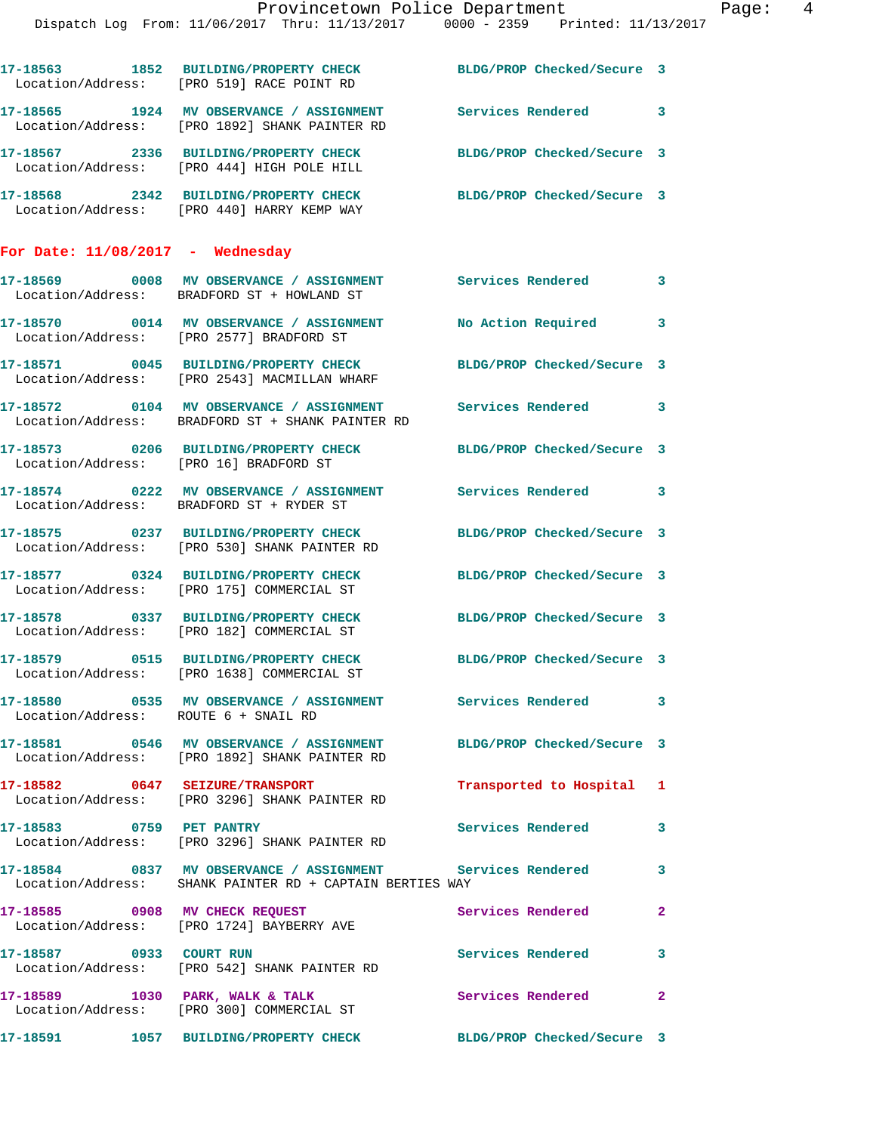|                                    | Dispatch Log From: 11/06/2017 Thru: 11/13/2017 0000 - 2359 Printed: 11/13/2017                                         | Provincetown Police Department Page: 4 |              |  |
|------------------------------------|------------------------------------------------------------------------------------------------------------------------|----------------------------------------|--------------|--|
|                                    |                                                                                                                        |                                        |              |  |
|                                    | 17-18563 1852 BUILDING/PROPERTY CHECK BLDG/PROP Checked/Secure 3<br>Location/Address: [PRO 519] RACE POINT RD          |                                        |              |  |
|                                    | 17-18565 1924 MV OBSERVANCE / ASSIGNMENT Services Rendered 3<br>Location/Address: [PRO 1892] SHANK PAINTER RD          |                                        |              |  |
|                                    | 17-18567 2336 BUILDING/PROPERTY CHECK BLDG/PROP Checked/Secure 3<br>Location/Address: [PRO 444] HIGH POLE HILL         |                                        |              |  |
|                                    | 17-18568 2342 BUILDING/PROPERTY CHECK BLDG/PROP Checked/Secure 3<br>Location/Address: [PRO 440] HARRY KEMP WAY         |                                        |              |  |
| For Date: $11/08/2017$ - Wednesday |                                                                                                                        |                                        |              |  |
|                                    | 17-18569 0008 MV OBSERVANCE / ASSIGNMENT Services Rendered<br>Location/Address: BRADFORD ST + HOWLAND ST               |                                        | $\mathbf{3}$ |  |
|                                    | 17-18570 0014 MV OBSERVANCE / ASSIGNMENT No Action Required 3<br>Location/Address: [PRO 2577] BRADFORD ST              |                                        |              |  |
|                                    | 17-18571 0045 BUILDING/PROPERTY CHECK BLDG/PROP Checked/Secure 3<br>Location/Address: [PRO 2543] MACMILLAN WHARF       |                                        |              |  |
|                                    | 17-18572 0104 MV OBSERVANCE / ASSIGNMENT Services Rendered 3<br>Location/Address: BRADFORD ST + SHANK PAINTER RD       |                                        |              |  |
|                                    | 17-18573 0206 BUILDING/PROPERTY CHECK BLDG/PROP Checked/Secure 3<br>Location/Address: [PRO 16] BRADFORD ST             |                                        |              |  |
|                                    | 17-18574 0222 MV OBSERVANCE / ASSIGNMENT Services Rendered 3<br>Location/Address: BRADFORD ST + RYDER ST               |                                        |              |  |
|                                    | 17-18575 0237 BUILDING/PROPERTY CHECK BLDG/PROP Checked/Secure 3<br>Location/Address: [PRO 530] SHANK PAINTER RD       |                                        |              |  |
|                                    | 17-18577 0324 BUILDING/PROPERTY CHECK BLDG/PROP Checked/Secure 3<br>Location/Address: [PRO 175] COMMERCIAL ST          |                                        |              |  |
|                                    | 17-18578 0337 BUILDING/PROPERTY CHECK<br>Location/Address: [PRO 182] COMMERCIAL ST                                     | BLDG/PROP Checked/Secure 3             |              |  |
|                                    | 17-18579 0515 BUILDING/PROPERTY CHECK BLDG/PROP Checked/Secure 3<br>Location/Address: [PRO 1638] COMMERCIAL ST         |                                        |              |  |
|                                    | 17-18580 0535 MV OBSERVANCE / ASSIGNMENT Services Rendered 3<br>Location/Address: ROUTE 6 + SNAIL RD                   |                                        |              |  |
|                                    | 17-18581 0546 MV OBSERVANCE / ASSIGNMENT BLDG/PROP Checked/Secure 3<br>Location/Address: [PRO 1892] SHANK PAINTER RD   |                                        |              |  |
|                                    | 17-18582 0647 SEIZURE/TRANSPORT<br>Location/Address: [PRO 3296] SHANK PAINTER RD                                       | Transported to Hospital 1              |              |  |
| 17-18583 0759 PET PANTRY           | Location/Address: [PRO 3296] SHANK PAINTER RD                                                                          | Services Rendered 3                    |              |  |
|                                    | 17-18584 0837 MV OBSERVANCE / ASSIGNMENT Services Rendered<br>Location/Address: SHANK PAINTER RD + CAPTAIN BERTIES WAY |                                        | 3            |  |
|                                    | 17-18585 0908 MV CHECK REQUEST<br>Location/Address: [PRO 1724] BAYBERRY AVE                                            | Services Rendered                      | $\mathbf{2}$ |  |
|                                    | 17-18587 0933 COURT RUN<br>Location/Address: [PRO 542] SHANK PAINTER RD                                                | Services Rendered                      | $\mathbf{3}$ |  |
|                                    | 17-18589 1030 PARK, WALK & TALK<br>Location/Address: [PRO 300] COMMERCIAL ST                                           | Services Rendered                      | $\mathbf{2}$ |  |
|                                    | 17-18591 1057 BUILDING/PROPERTY CHECK BLDG/PROP Checked/Secure 3                                                       |                                        |              |  |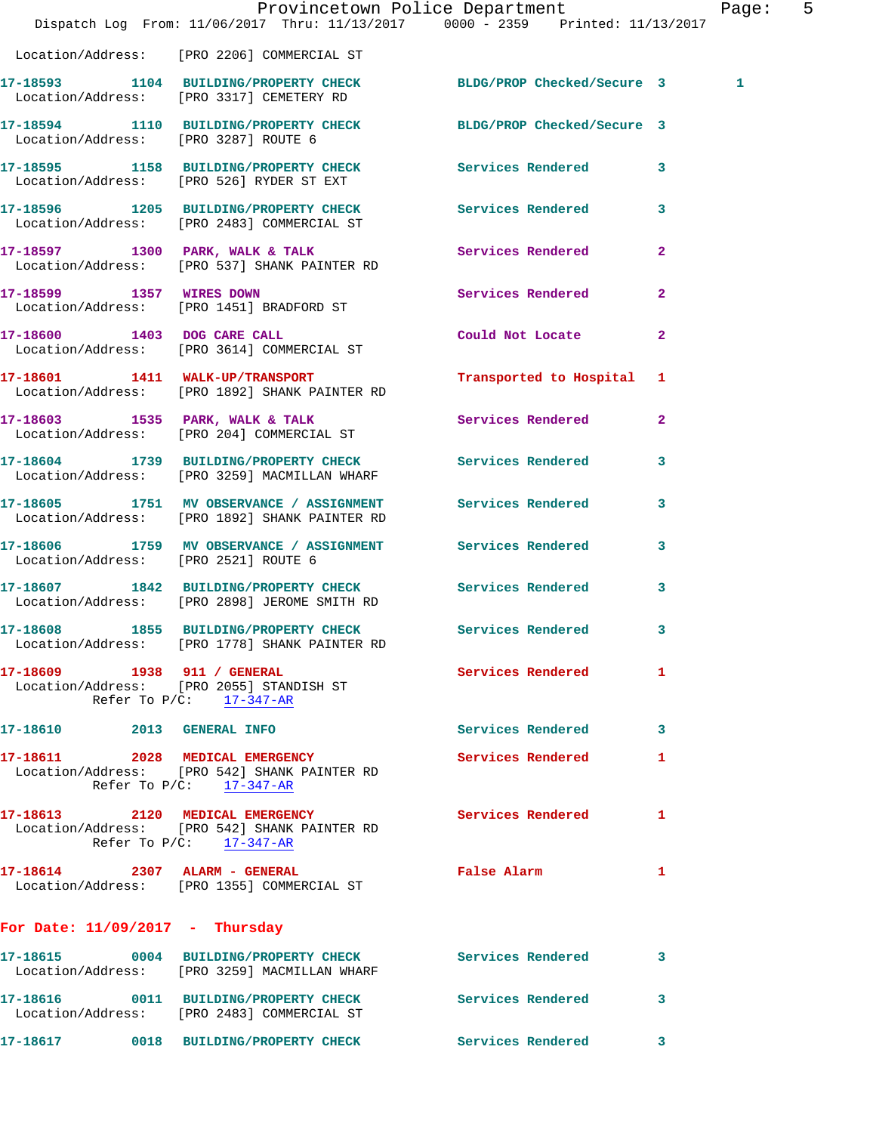|                                      | Dispatch Log From: 11/06/2017 Thru: 11/13/2017 0000 - 2359 Printed: 11/13/2017                                | Provincetown Police Department |                         | Page: 5 |  |
|--------------------------------------|---------------------------------------------------------------------------------------------------------------|--------------------------------|-------------------------|---------|--|
|                                      | Location/Address: [PRO 2206] COMMERCIAL ST                                                                    |                                |                         |         |  |
|                                      | 17-18593 1104 BUILDING/PROPERTY CHECK BLDG/PROP Checked/Secure 3<br>Location/Address: [PRO 3317] CEMETERY RD  |                                |                         | 1       |  |
|                                      | 17-18594 1110 BUILDING/PROPERTY CHECK BLDG/PROP Checked/Secure 3<br>Location/Address: [PRO 3287] ROUTE 6      |                                |                         |         |  |
|                                      | 17-18595 1158 BUILDING/PROPERTY CHECK Services Rendered 3<br>Location/Address: [PRO 526] RYDER ST EXT         |                                |                         |         |  |
|                                      | 17-18596 1205 BUILDING/PROPERTY CHECK Services Rendered 3<br>Location/Address: [PRO 2483] COMMERCIAL ST       |                                |                         |         |  |
|                                      | 17-18597 1300 PARK, WALK & TALK<br>Location/Address: [PRO 537] SHANK PAINTER RD                               | Services Rendered              | $\mathbf{2}$            |         |  |
|                                      | 17-18599 1357 WIRES DOWN<br>Location/Address: [PRO 1451] BRADFORD ST                                          | Services Rendered              | $\overline{2}$          |         |  |
|                                      | 17-18600 1403 DOG CARE CALL<br>Location/Address: [PRO 3614] COMMERCIAL ST                                     | Could Not Locate 2             |                         |         |  |
|                                      | 17-18601 1411 WALK-UP/TRANSPORT<br>Location/Address: [PRO 1892] SHANK PAINTER RD                              | Transported to Hospital 1      |                         |         |  |
|                                      | 17-18603 1535 PARK, WALK & TALK<br>Location/Address: [PRO 204] COMMERCIAL ST                                  | Services Rendered 2            |                         |         |  |
|                                      | 17-18604 1739 BUILDING/PROPERTY CHECK Services Rendered<br>Location/Address: [PRO 3259] MACMILLAN WHARF       |                                | $\overline{\mathbf{3}}$ |         |  |
|                                      | 17-18605 1751 MV OBSERVANCE / ASSIGNMENT<br>Location/Address: [PRO 1892] SHANK PAINTER RD                     | Services Rendered              | $\mathbf{3}$            |         |  |
| Location/Address: [PRO 2521] ROUTE 6 | 17-18606 1759 MV OBSERVANCE / ASSIGNMENT Services Rendered                                                    |                                | 3                       |         |  |
|                                      | 17-18607 1842 BUILDING/PROPERTY CHECK Services Rendered<br>Location/Address: [PRO 2898] JEROME SMITH RD       |                                | $\mathbf{3}$            |         |  |
|                                      | 17-18608 1855 BUILDING/PROPERTY CHECK Services Rendered 3<br>Location/Address: [PRO 1778] SHANK PAINTER RD    |                                |                         |         |  |
| 17-18609 1938 911 / GENERAL          | Location/Address: [PRO 2055] STANDISH ST<br>Refer To $P/C$ : $\frac{17-347-AR}{2}$                            | Services Rendered 1            |                         |         |  |
| 17-18610 2013 GENERAL INFO           |                                                                                                               | Services Rendered              | $\mathbf{3}$            |         |  |
|                                      | 17-18611 2028 MEDICAL EMERGENCY<br>Location/Address: [PRO 542] SHANK PAINTER RD<br>Refer To $P/C:$ 17-347-AR  | Services Rendered              | 1                       |         |  |
|                                      | 17-18613 2120 MEDICAL EMERGENCY<br>Location/Address: [PRO 542] SHANK PAINTER RD<br>Refer To $P/C$ : 17-347-AR | <b>Services Rendered</b>       | 1                       |         |  |
|                                      | 17-18614 2307 ALARM - GENERAL<br>Location/Address: [PRO 1355] COMMERCIAL ST                                   | False Alarm                    | 1                       |         |  |
| For Date: $11/09/2017$ - Thursday    |                                                                                                               |                                |                         |         |  |
|                                      | 17-18615 0004 BUILDING/PROPERTY CHECK Services Rendered<br>Location/Address: [PRO 3259] MACMILLAN WHARF       |                                | $\mathbf{3}$            |         |  |
|                                      | 17-18616   0011 BUILDING/PROPERTY CHECK   Services Rendered<br>Location/Address: [PRO 2483] COMMERCIAL ST     |                                | 3                       |         |  |
|                                      | 17-18617 0018 BUILDING/PROPERTY CHECK                                                                         | Services Rendered 3            |                         |         |  |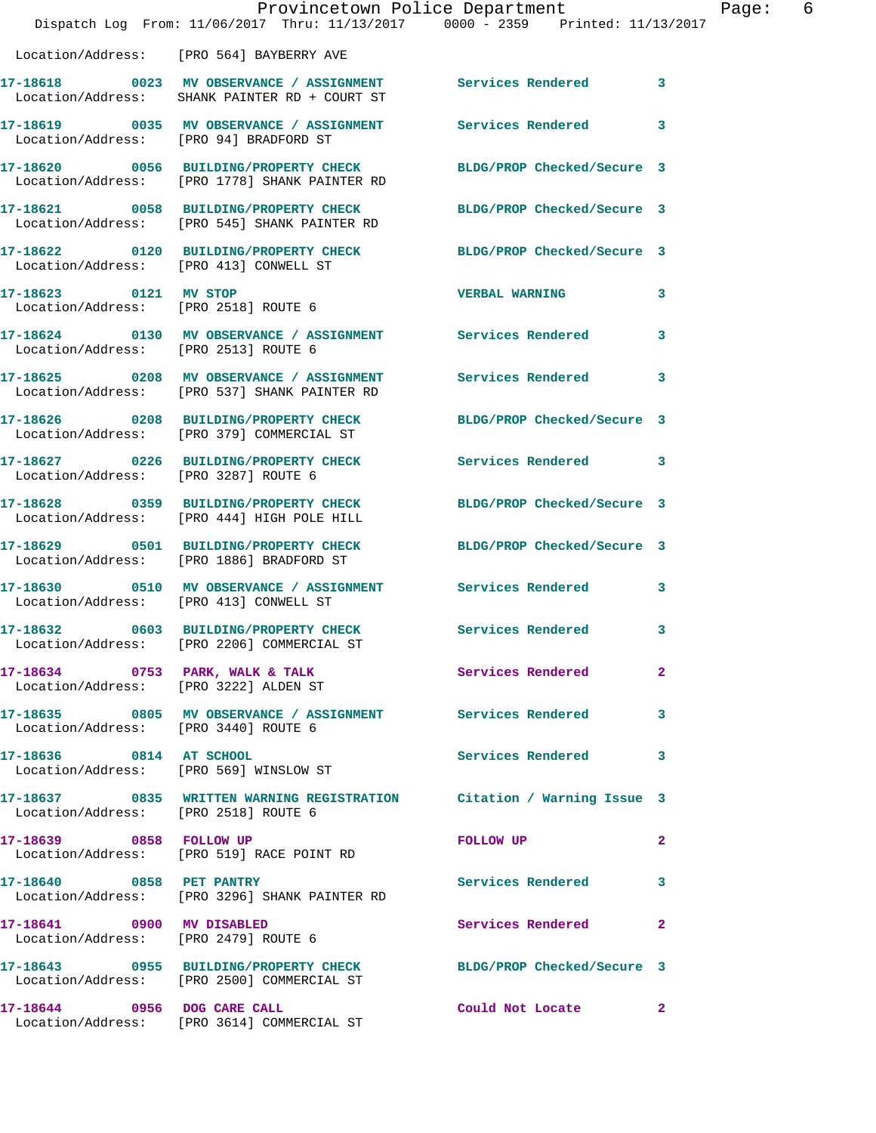|                                        | Dispatch Log From: 11/06/2017 Thru: 11/13/2017 0000 - 2359 Printed: 11/13/2017                                    | Provincetown Police Department                                                                                 | Page:          | 6 |
|----------------------------------------|-------------------------------------------------------------------------------------------------------------------|----------------------------------------------------------------------------------------------------------------|----------------|---|
|                                        | Location/Address: [PRO 564] BAYBERRY AVE                                                                          |                                                                                                                |                |   |
|                                        | 17-18618 0023 MV OBSERVANCE / ASSIGNMENT Services Rendered 3<br>Location/Address: SHANK PAINTER RD + COURT ST     |                                                                                                                |                |   |
|                                        | 17-18619 0035 MV OBSERVANCE / ASSIGNMENT Services Rendered 3<br>Location/Address: [PRO 94] BRADFORD ST            |                                                                                                                |                |   |
|                                        | 17-18620 0056 BUILDING/PROPERTY CHECK BLDG/PROP Checked/Secure 3<br>Location/Address: [PRO 1778] SHANK PAINTER RD |                                                                                                                |                |   |
|                                        | 17-18621 0058 BUILDING/PROPERTY CHECK BLDG/PROP Checked/Secure 3<br>Location/Address: [PRO 545] SHANK PAINTER RD  |                                                                                                                |                |   |
| Location/Address: [PRO 413] CONWELL ST | 17-18622 0120 BUILDING/PROPERTY CHECK BLDG/PROP Checked/Secure 3                                                  |                                                                                                                |                |   |
| 17-18623 0121 MV STOP                  | Location/Address: [PRO 2518] ROUTE 6                                                                              | <b>VERBAL WARNING</b> 3                                                                                        |                |   |
| Location/Address: [PRO 2513] ROUTE 6   | 17-18624 0130 MV OBSERVANCE / ASSIGNMENT Services Rendered 3                                                      |                                                                                                                |                |   |
|                                        | 17-18625 0208 MV OBSERVANCE / ASSIGNMENT Services Rendered 3<br>Location/Address: [PRO 537] SHANK PAINTER RD      |                                                                                                                |                |   |
|                                        | 17-18626 0208 BUILDING/PROPERTY CHECK<br>Location/Address: [PRO 379] COMMERCIAL ST                                | BLDG/PROP Checked/Secure 3                                                                                     |                |   |
| Location/Address: [PRO 3287] ROUTE 6   | 17-18627 0226 BUILDING/PROPERTY CHECK Services Rendered 3                                                         |                                                                                                                |                |   |
|                                        | 17-18628 0359 BUILDING/PROPERTY CHECK BLDG/PROP Checked/Secure 3<br>Location/Address: [PRO 444] HIGH POLE HILL    |                                                                                                                |                |   |
|                                        | 17-18629 0501 BUILDING/PROPERTY CHECK BLDG/PROP Checked/Secure 3<br>Location/Address: [PRO 1886] BRADFORD ST      |                                                                                                                |                |   |
| Location/Address: [PRO 413] CONWELL ST | 17-18630 0510 MV OBSERVANCE / ASSIGNMENT Services Rendered 3                                                      |                                                                                                                |                |   |
|                                        | 17-18632 0603 BUILDING/PROPERTY CHECK Services Rendered 3<br>Location/Address: [PRO 2206] COMMERCIAL ST           |                                                                                                                |                |   |
|                                        | 17-18634 0753 PARK, WALK & TALK 3 Services Rendered<br>Location/Address: [PRO 3222] ALDEN ST                      |                                                                                                                | $\overline{2}$ |   |
| Location/Address: [PRO 3440] ROUTE 6   | 17-18635 0805 MV OBSERVANCE / ASSIGNMENT Services Rendered 3                                                      |                                                                                                                |                |   |
|                                        | 17-18636 0814 AT SCHOOL<br>Location/Address: [PRO 569] WINSLOW ST                                                 | Services Rendered 3                                                                                            |                |   |
| Location/Address: [PRO 2518] ROUTE 6   | 17-18637 0835 WRITTEN WARNING REGISTRATION Citation / Warning Issue 3                                             |                                                                                                                |                |   |
|                                        | 17-18639 0858 FOLLOW UP<br>Location/Address: [PRO 519] RACE POINT RD                                              | FOLLOW UP THE STATE OF THE STATE OF THE STATE OF THE STATE OF THE STATE OF THE STATE OF THE STATE OF THE STATE | $\mathbf{2}$   |   |
| 17-18640 0858 PET PANTRY               | Location/Address: [PRO 3296] SHANK PAINTER RD                                                                     | Services Rendered 3                                                                                            |                |   |
| 17-18641 0900 MV DISABLED              | Location/Address: [PRO 2479] ROUTE 6                                                                              | Services Rendered 2                                                                                            |                |   |
|                                        | 17-18643 0955 BUILDING/PROPERTY CHECK BLDG/PROP Checked/Secure 3<br>Location/Address: [PRO 2500] COMMERCIAL ST    |                                                                                                                |                |   |
|                                        | 17-18644 0956 DOG CARE CALL<br>Location/Address: [PRO 3614] COMMERCIAL ST                                         | Could Not Locate 2                                                                                             |                |   |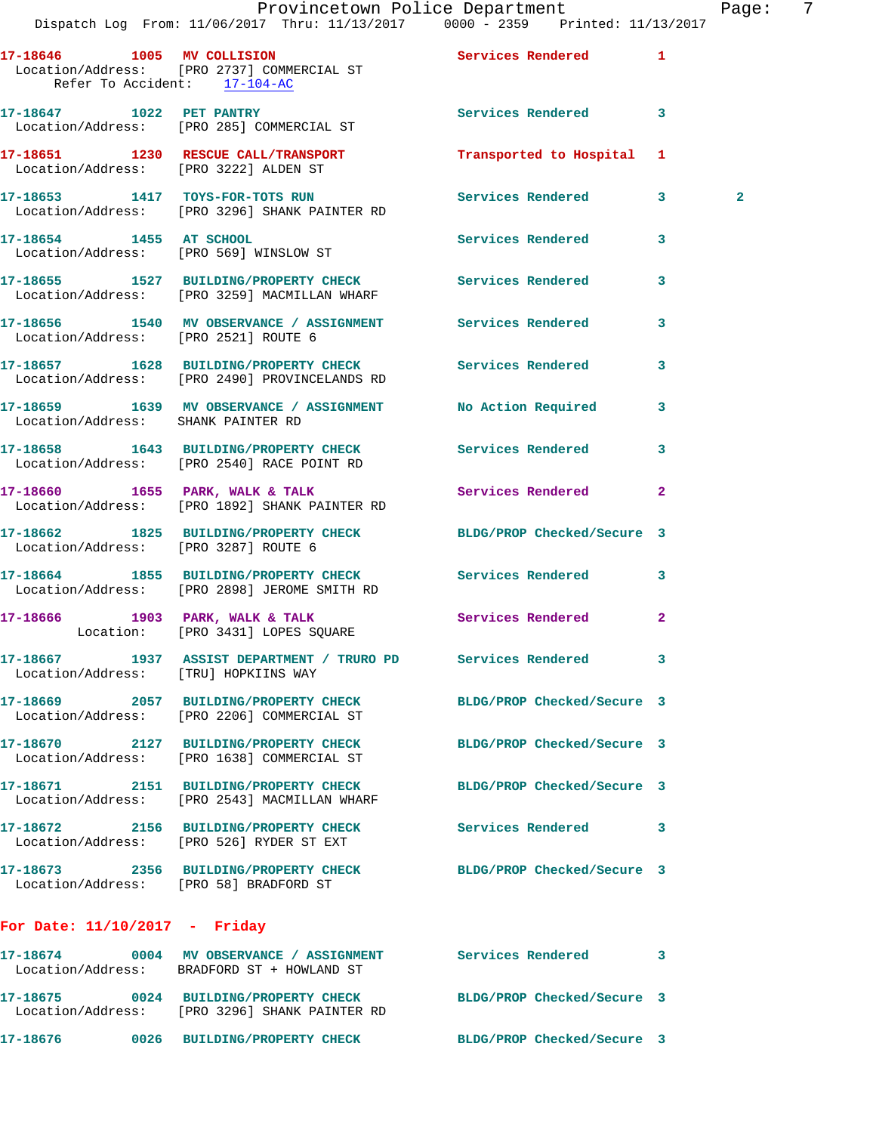|                                        | Dispatch Log From: 11/06/2017 Thru: 11/13/2017 0000 - 2359 Printed: 11/13/2017                            | Provincetown Police Department |              | Page: 7      |  |
|----------------------------------------|-----------------------------------------------------------------------------------------------------------|--------------------------------|--------------|--------------|--|
| Refer To Accident: 17-104-AC           | 17-18646 1005 MV COLLISION 2008 Services Rendered 1<br>Location/Address: [PRO 2737] COMMERCIAL ST         |                                |              |              |  |
|                                        | 17-18647 1022 PET PANTRY<br>Location/Address: [PRO 285] COMMERCIAL ST                                     | Services Rendered 3            |              |              |  |
| Location/Address: [PRO 3222] ALDEN ST  | 17-18651 1230 RESCUE CALL/TRANSPORT                                                                       | Transported to Hospital 1      |              |              |  |
|                                        | 17-18653 1417 TOYS-FOR-TOTS RUN Services Rendered 3<br>Location/Address: [PRO 3296] SHANK PAINTER RD      |                                |              | $\mathbf{2}$ |  |
|                                        | 17-18654 1455 AT SCHOOL<br>Location/Address: [PRO 569] WINSLOW ST                                         | Services Rendered              | $\mathbf{3}$ |              |  |
|                                        | 17-18655 1527 BUILDING/PROPERTY CHECK Services Rendered<br>Location/Address: [PRO 3259] MACMILLAN WHARF   |                                | $\mathbf{3}$ |              |  |
|                                        | 17-18656 1540 MV OBSERVANCE / ASSIGNMENT Services Rendered 3<br>Location/Address: [PRO 2521] ROUTE 6      |                                |              |              |  |
|                                        | 17-18657 1628 BUILDING/PROPERTY CHECK Services Rendered<br>Location/Address: [PRO 2490] PROVINCELANDS RD  |                                | 3            |              |  |
| Location/Address: SHANK PAINTER RD     | 17-18659 1639 MV OBSERVANCE / ASSIGNMENT No Action Required 3                                             |                                |              |              |  |
|                                        | 17-18658 1643 BUILDING/PROPERTY CHECK Services Rendered<br>Location/Address: [PRO 2540] RACE POINT RD     |                                | 3            |              |  |
|                                        | 17-18660 1655 PARK, WALK & TALK 1988 Services Rendered 2<br>Location/Address: [PRO 1892] SHANK PAINTER RD |                                |              |              |  |
| Location/Address: [PRO 3287] ROUTE 6   | 17-18662 1825 BUILDING/PROPERTY CHECK BLDG/PROP Checked/Secure 3                                          |                                |              |              |  |
|                                        | 17-18664 1855 BUILDING/PROPERTY CHECK Services Rendered 3<br>Location/Address: [PRO 2898] JEROME SMITH RD |                                |              |              |  |
|                                        | 17-18666 1903 PARK, WALK & TALK<br>Location: [PRO 3431] LOPES SQUARE                                      | Services Rendered 2            |              |              |  |
| Location/Address: [TRU] HOPKIINS WAY   | 17-18667 1937 ASSIST DEPARTMENT / TRURO PD Services Rendered                                              |                                | 3            |              |  |
|                                        | 17-18669 2057 BUILDING/PROPERTY CHECK<br>Location/Address: [PRO 2206] COMMERCIAL ST                       | BLDG/PROP Checked/Secure 3     |              |              |  |
|                                        |                                                                                                           | BLDG/PROP Checked/Secure 3     |              |              |  |
|                                        | 17-18671 2151 BUILDING/PROPERTY CHECK<br>Location/Address: [PRO 2543] MACMILLAN WHARF                     | BLDG/PROP Checked/Secure 3     |              |              |  |
|                                        | 17-18672 2156 BUILDING/PROPERTY CHECK<br>Location/Address: [PRO 526] RYDER ST EXT                         | Services Rendered              | 3            |              |  |
| Location/Address: [PRO 58] BRADFORD ST | 17-18673 2356 BUILDING/PROPERTY CHECK                                                                     | BLDG/PROP Checked/Secure 3     |              |              |  |
|                                        |                                                                                                           |                                |              |              |  |

## **For Date: 11/10/2017 - Friday**

| 17-18674          | 0004 | MV OBSERVANCE / ASSIGNMENT                                                      | Services Rendered          |  |
|-------------------|------|---------------------------------------------------------------------------------|----------------------------|--|
| Location/Address: |      | BRADFORD ST + HOWLAND ST                                                        |                            |  |
| 17-18675          | 0024 | <b>BUILDING/PROPERTY CHECK</b><br>Location/Address: [PRO 3296] SHANK PAINTER RD | BLDG/PROP Checked/Secure 3 |  |
| 17-18676          | 0026 | <b>BUILDING/PROPERTY CHECK</b>                                                  | BLDG/PROP Checked/Secure 3 |  |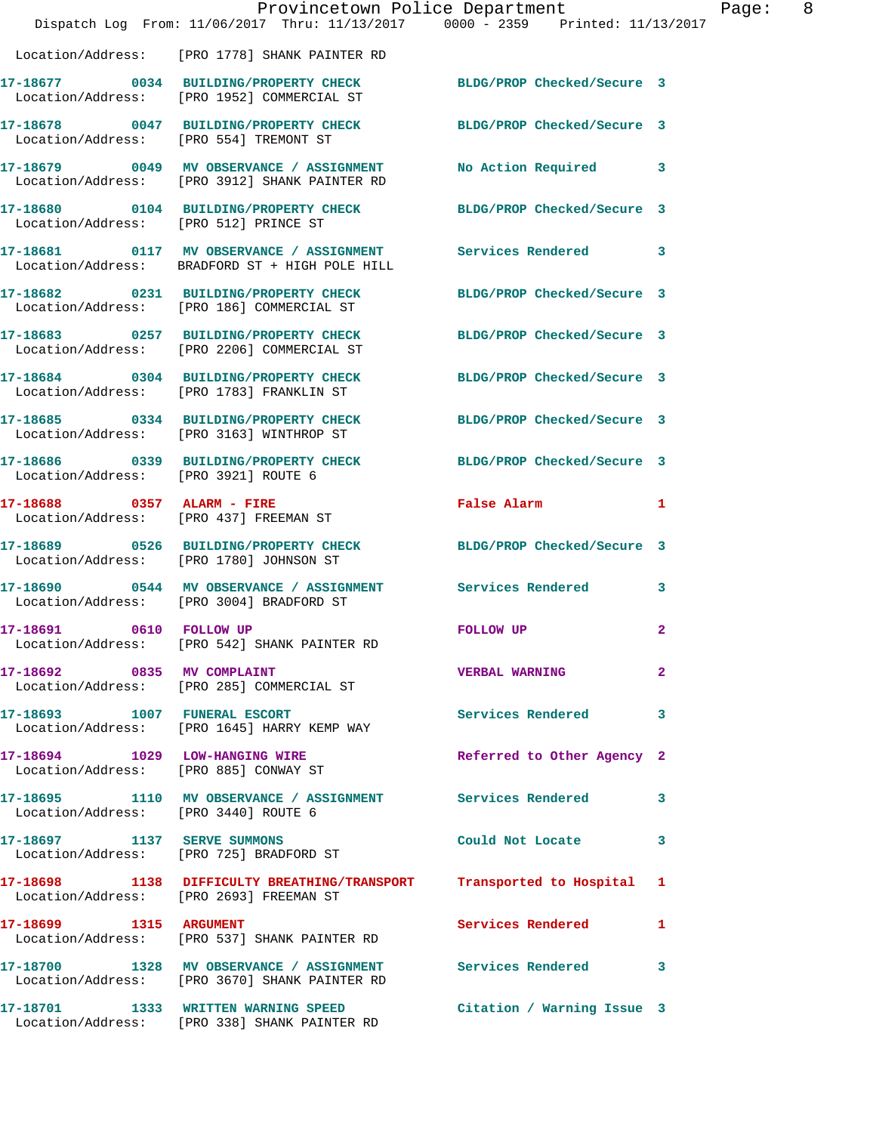|                                       | Dispatch Log From: 11/06/2017 Thru: 11/13/2017 0000 - 2359 Printed: 11/13/2017                                    | Provincetown Police Department | Page: 8      |  |
|---------------------------------------|-------------------------------------------------------------------------------------------------------------------|--------------------------------|--------------|--|
|                                       | Location/Address: [PRO 1778] SHANK PAINTER RD                                                                     |                                |              |  |
|                                       | 17-18677 0034 BUILDING/PROPERTY CHECK BLDG/PROP Checked/Secure 3<br>Location/Address: [PRO 1952] COMMERCIAL ST    |                                |              |  |
|                                       | 17-18678 0047 BUILDING/PROPERTY CHECK BLDG/PROP Checked/Secure 3<br>Location/Address: [PRO 554] TREMONT ST        |                                |              |  |
|                                       | 17-18679 0049 MV OBSERVANCE / ASSIGNMENT<br>Location/Address: [PRO 3912] SHANK PAINTER RD                         | No Action Required 3           |              |  |
| Location/Address: [PRO 512] PRINCE ST | 17-18680 0104 BUILDING/PROPERTY CHECK BLDG/PROP Checked/Secure 3                                                  |                                |              |  |
|                                       | 17-18681 0117 MV OBSERVANCE / ASSIGNMENT Services Rendered 3<br>Location/Address: BRADFORD ST + HIGH POLE HILL    |                                |              |  |
|                                       | 17-18682 0231 BUILDING/PROPERTY CHECK<br>Location/Address: [PRO 186] COMMERCIAL ST                                | BLDG/PROP Checked/Secure 3     |              |  |
|                                       | 17-18683 0257 BUILDING/PROPERTY CHECK BLDG/PROP Checked/Secure 3<br>Location/Address: [PRO 2206] COMMERCIAL ST    |                                |              |  |
|                                       | 17-18684 0304 BUILDING/PROPERTY CHECK<br>Location/Address: [PRO 1783] FRANKLIN ST                                 | BLDG/PROP Checked/Secure 3     |              |  |
|                                       | 17-18685 0334 BUILDING/PROPERTY CHECK BLDG/PROP Checked/Secure 3<br>Location/Address: [PRO 3163] WINTHROP ST      |                                |              |  |
|                                       | 17-18686 0339 BUILDING/PROPERTY CHECK BLDG/PROP Checked/Secure 3<br>Location/Address: [PRO 3921] ROUTE 6          |                                |              |  |
|                                       | 17-18688 0357 ALARM - FIRE<br>Location/Address: [PRO 437] FREEMAN ST                                              | False Alarm                    | $\mathbf{1}$ |  |
|                                       | 17-18689 0526 BUILDING/PROPERTY CHECK BLDG/PROP Checked/Secure 3<br>Location/Address: [PRO 1780] JOHNSON ST       |                                |              |  |
|                                       | 17-18690 0544 MV OBSERVANCE / ASSIGNMENT Services Rendered<br>Location/Address: [PRO 3004] BRADFORD ST            |                                | $\mathbf{3}$ |  |
| 17-18691 0610 FOLLOW UP               | Location/Address: [PRO 542] SHANK PAINTER RD                                                                      | <b>FOLLOW UP</b>               | $\mathbf{2}$ |  |
| 17-18692 0835 MV COMPLAINT            | Location/Address: [PRO 285] COMMERCIAL ST                                                                         | <b>VERBAL WARNING</b>          | $\mathbf{2}$ |  |
|                                       | 17-18693 1007 FUNERAL ESCORT<br>Location/Address: [PRO 1645] HARRY KEMP WAY                                       | <b>Services Rendered</b> 3     |              |  |
|                                       | 17-18694 1029 LOW-HANGING WIRE<br>Location/Address: [PRO 885] CONWAY ST                                           | Referred to Other Agency 2     |              |  |
| Location/Address: [PRO 3440] ROUTE 6  | 17-18695 1110 MV OBSERVANCE / ASSIGNMENT Services Rendered 3                                                      |                                |              |  |
|                                       | 17-18697 1137 SERVE SUMMONS<br>Location/Address: [PRO 725] BRADFORD ST                                            | Could Not Locate 3             |              |  |
|                                       | 17-18698 1138 DIFFICULTY BREATHING/TRANSPORT Transported to Hospital 1<br>Location/Address: [PRO 2693] FREEMAN ST |                                |              |  |
| 17-18699 1315 ARGUMENT                | Location/Address: [PRO 537] SHANK PAINTER RD                                                                      | Services Rendered 1            |              |  |
|                                       | 17-18700 1328 MV OBSERVANCE / ASSIGNMENT Services Rendered 3<br>Location/Address: [PRO 3670] SHANK PAINTER RD     |                                |              |  |
|                                       | 17-18701 1333 WRITTEN WARNING SPEED<br>Location/Address: [PRO 338] SHANK PAINTER RD                               | Citation / Warning Issue 3     |              |  |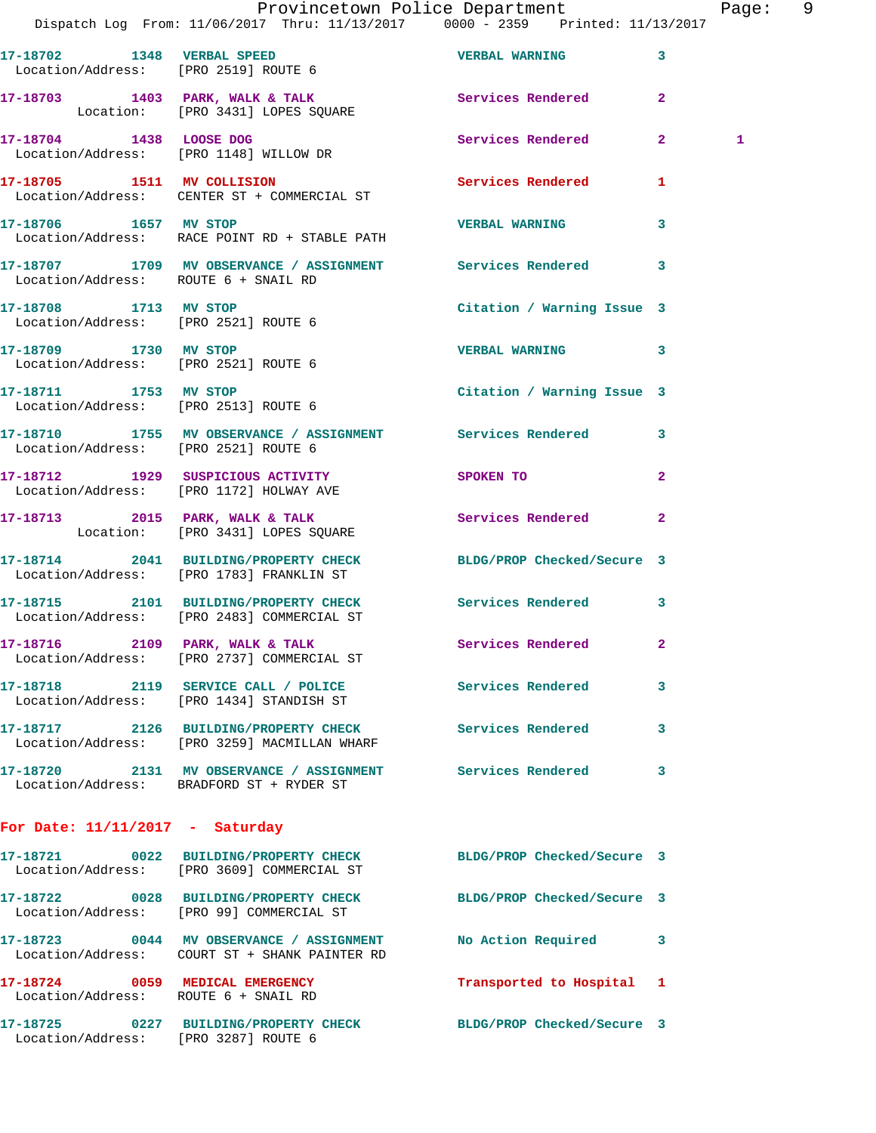|                                      | Provincetown Police Department The Page: 9<br>Dispatch Log From: 11/06/2017 Thru: 11/13/2017 0000 - 2359 Printed: 11/13/2017 |                            |              |   |  |
|--------------------------------------|------------------------------------------------------------------------------------------------------------------------------|----------------------------|--------------|---|--|
|                                      | 17-18702 1348 VERBAL SPEED VERBAL WARNING<br>Location/Address: [PRO 2519] ROUTE 6                                            |                            | $\mathbf{3}$ |   |  |
|                                      | 17-18703 1403 PARK, WALK & TALK 1999 Services Rendered<br>Location: [PRO 3431] LOPES SQUARE                                  |                            | $\mathbf{2}$ |   |  |
|                                      | 17-18704 1438 LOOSE DOG Services Rendered 2<br>Location/Address: [PRO 1148] WILLOW DR                                        |                            |              | 1 |  |
|                                      | 17-18705 1511 MV COLLISION Services Rendered 1<br>Location/Address: CENTER ST + COMMERCIAL ST                                |                            |              |   |  |
|                                      | 17-18706 1657 MV STOP<br>Location/Address: RACE POINT RD + STABLE PATH                                                       | <b>VERBAL WARNING</b>      | 3            |   |  |
| Location/Address: ROUTE 6 + SNAIL RD | 17-18707 1709 MV OBSERVANCE / ASSIGNMENT Services Rendered                                                                   |                            | $\mathbf{3}$ |   |  |
| 17-18708 1713 MV STOP                | Location/Address: [PRO 2521] ROUTE 6                                                                                         | Citation / Warning Issue 3 |              |   |  |
| Location/Address: [PRO 2521] ROUTE 6 | 17-18709 1730 MV STOP                                                                                                        | <b>VERBAL WARNING</b>      | 3            |   |  |
| 17-18711 1753 MV STOP                | Location/Address: [PRO 2513] ROUTE 6                                                                                         | Citation / Warning Issue 3 |              |   |  |
| Location/Address: [PRO 2521] ROUTE 6 | 17-18710 1755 MV OBSERVANCE / ASSIGNMENT Services Rendered 3                                                                 |                            |              |   |  |
|                                      | 17-18712 1929 SUSPICIOUS ACTIVITY SPOKEN TO<br>Location/Address: [PRO 1172] HOLWAY AVE                                       |                            | $\mathbf{2}$ |   |  |
|                                      | 17-18713 2015 PARK, WALK & TALK 2015 Services Rendered<br>Location: [PRO 3431] LOPES SQUARE                                  |                            | -2           |   |  |
|                                      | 17-18714 2041 BUILDING/PROPERTY CHECK BLDG/PROP Checked/Secure 3<br>Location/Address: [PRO 1783] FRANKLIN ST                 |                            |              |   |  |
|                                      | 17-18715 2101 BUILDING/PROPERTY CHECK Services Rendered 3<br>Location/Address: [PRO 2483] COMMERCIAL ST                      |                            |              |   |  |
|                                      | 17-18716 2109 PARK, WALK & TALK<br>Location/Address: [PRO 2737] COMMERCIAL ST                                                | <b>Services Rendered</b>   |              |   |  |
|                                      | 17-18718 2119 SERVICE CALL / POLICE Services Rendered<br>Location/Address: [PRO 1434] STANDISH ST                            |                            | 3            |   |  |
|                                      | 17-18717 2126 BUILDING/PROPERTY CHECK<br>Location/Address: [PRO 3259] MACMILLAN WHARF                                        | Services Rendered          | 3            |   |  |
|                                      | 17-18720 2131 MV OBSERVANCE / ASSIGNMENT Services Rendered<br>Location/Address: BRADFORD ST + RYDER ST                       |                            | 3            |   |  |
| For Date: $11/11/2017$ - Saturday    |                                                                                                                              |                            |              |   |  |
|                                      | 17-18721 0022 BUILDING/PROPERTY CHECK BLDG/PROP Checked/Secure 3<br>Location/Address: [PRO 3609] COMMERCIAL ST               |                            |              |   |  |
|                                      | 17-18722 0028 BUILDING/PROPERTY CHECK BLDG/PROP Checked/Secure 3<br>Location/Address: [PRO 99] COMMERCIAL ST                 |                            |              |   |  |
|                                      | 17-18723 0044 MV OBSERVANCE / ASSIGNMENT                                                                                     | No Action Required         | 3            |   |  |
| Location/Address: ROUTE 6 + SNAIL RD | 17-18724 0059 MEDICAL EMERGENCY                                                                                              | Transported to Hospital 1  |              |   |  |

**17-18725 0227 BUILDING/PROPERTY CHECK BLDG/PROP Checked/Secure 3**  Location/Address: [PRO 3287] ROUTE 6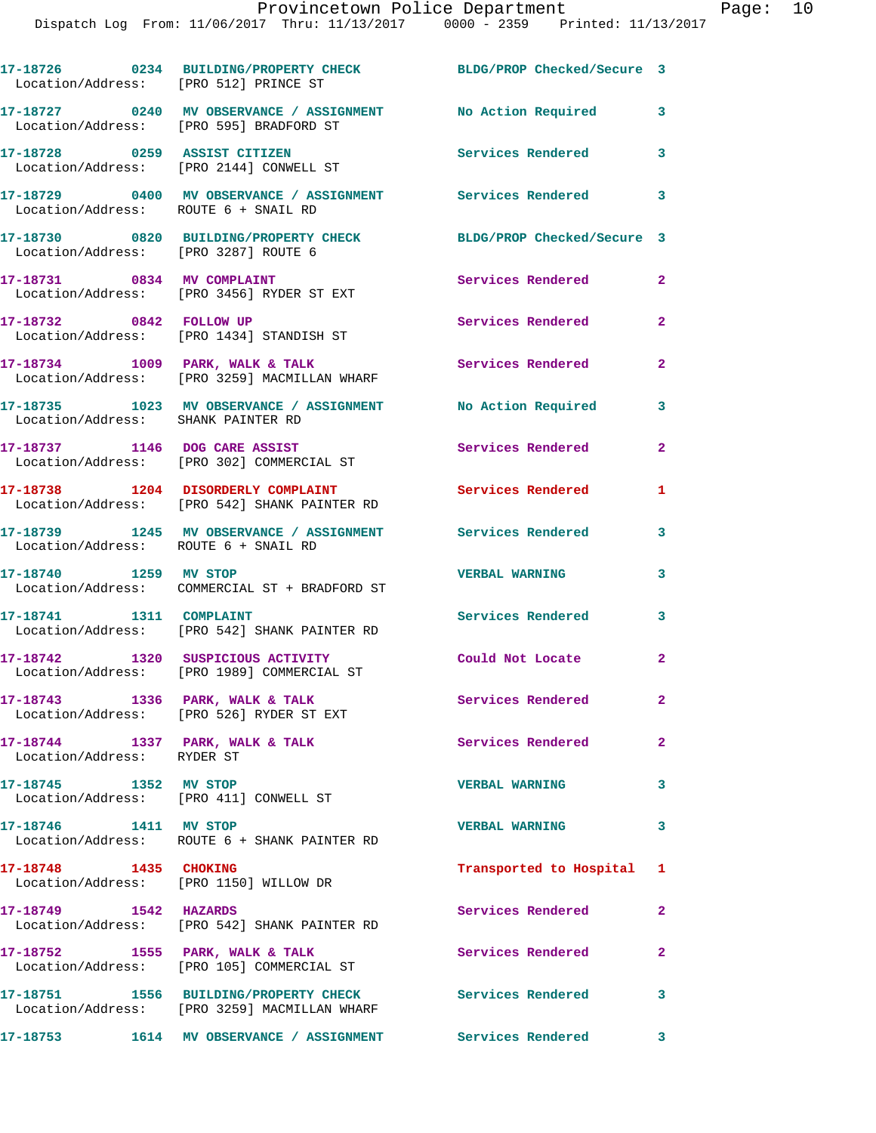| Location/Address: [PRO 512] PRINCE ST                           | 17-18726 0234 BUILDING/PROPERTY CHECK BLDG/PROP Checked/Secure 3                                       |                           |                |
|-----------------------------------------------------------------|--------------------------------------------------------------------------------------------------------|---------------------------|----------------|
|                                                                 | 17-18727 0240 MV OBSERVANCE / ASSIGNMENT No Action Required<br>Location/Address: [PRO 595] BRADFORD ST |                           | 3              |
|                                                                 | 17-18728 0259 ASSIST CITIZEN<br>Location/Address: [PRO 2144] CONWELL ST                                | <b>Services Rendered</b>  | 3              |
| Location/Address: ROUTE 6 + SNAIL RD                            | 17-18729 0400 MV OBSERVANCE / ASSIGNMENT Services Rendered                                             |                           | 3              |
| Location/Address: [PRO 3287] ROUTE 6                            | 17-18730 0820 BUILDING/PROPERTY CHECK BLDG/PROP Checked/Secure 3                                       |                           |                |
| 17-18731 0834 MV COMPLAINT                                      | Location/Address: [PRO 3456] RYDER ST EXT                                                              | Services Rendered         | $\overline{2}$ |
| 17-18732 0842 FOLLOW UP                                         | Location/Address: [PRO 1434] STANDISH ST                                                               | Services Rendered         | $\overline{2}$ |
|                                                                 | 17-18734 1009 PARK, WALK & TALK<br>Location/Address: [PRO 3259] MACMILLAN WHARF                        | <b>Services Rendered</b>  | $\mathbf{2}$   |
| Location/Address: SHANK PAINTER RD                              | 17-18735 1023 MV OBSERVANCE / ASSIGNMENT No Action Required                                            |                           | 3              |
|                                                                 | 17-18737 1146 DOG CARE ASSIST<br>Location/Address: [PRO 302] COMMERCIAL ST                             | Services Rendered         | $\overline{2}$ |
|                                                                 | 17-18738 1204 DISORDERLY COMPLAINT<br>Location/Address: [PRO 542] SHANK PAINTER RD                     | <b>Services Rendered</b>  | $\mathbf{1}$   |
| Location/Address: ROUTE 6 + SNAIL RD                            | 17-18739 1245 MV OBSERVANCE / ASSIGNMENT Services Rendered                                             |                           | 3              |
| 17-18740 1259 MV STOP                                           | Location/Address: COMMERCIAL ST + BRADFORD ST                                                          | <b>VERBAL WARNING</b>     | 3              |
| 17-18741   1311   COMPLAINT                                     | Location/Address: [PRO 542] SHANK PAINTER RD                                                           | Services Rendered         | 3              |
|                                                                 | 17-18742 1320 SUSPICIOUS ACTIVITY<br>Location/Address: [PRO 1989] COMMERCIAL ST                        | Could Not Locate          | $\mathbf{2}$   |
|                                                                 | 17-18743 1336 PARK, WALK & TALK<br>Location/Address: [PRO 526] RYDER ST EXT                            | Services Rendered         | $\mathbf{2}$   |
| Location/Address: RYDER ST                                      | 17-18744 1337 PARK, WALK & TALK                                                                        | <b>Services Rendered</b>  | $\overline{2}$ |
| 17-18745 1352 MV STOP<br>Location/Address: [PRO 411] CONWELL ST |                                                                                                        | <b>VERBAL WARNING</b>     | 3              |
| 17-18746   1411 MV STOP                                         | Location/Address: ROUTE 6 + SHANK PAINTER RD                                                           | <b>VERBAL WARNING</b>     | 3              |
| 17-18748 1435 CHOKING                                           | Location/Address: [PRO 1150] WILLOW DR                                                                 | Transported to Hospital 1 |                |
| 17-18749 1542 HAZARDS                                           | Location/Address: [PRO 542] SHANK PAINTER RD                                                           | Services Rendered         | $\overline{2}$ |
| 17-18752 1555 PARK, WALK & TALK                                 | Location/Address: [PRO 105] COMMERCIAL ST                                                              | Services Rendered         | $\overline{2}$ |
|                                                                 | 17-18751 1556 BUILDING/PROPERTY CHECK<br>Location/Address: [PRO 3259] MACMILLAN WHARF                  | <b>Services Rendered</b>  | 3              |
|                                                                 | 17-18753 1614 MV OBSERVANCE / ASSIGNMENT                                                               | Services Rendered 3       |                |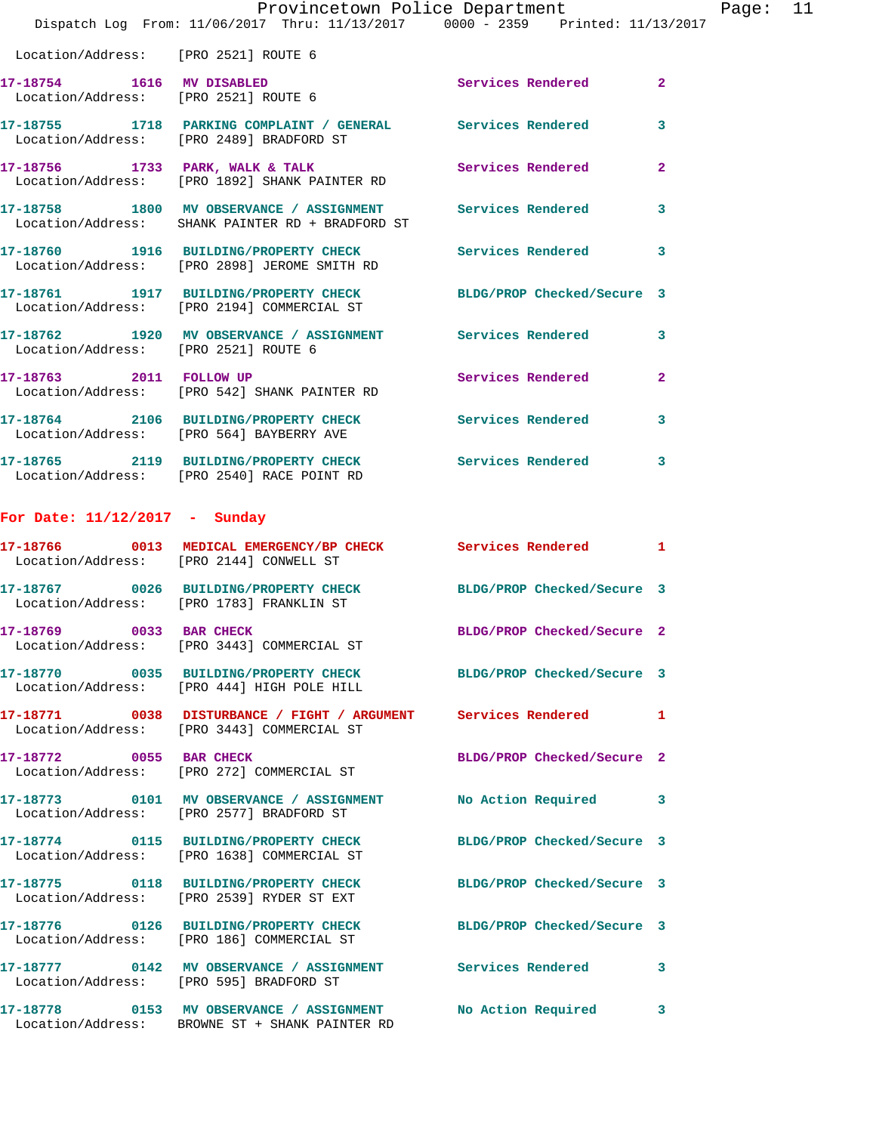|                                      | Dispatch Log From: $11/06/2017$ Thru: $11/13/2017$ 0000 - 2359 Printed: $11/13/2017$                                   | Provincetown Police Department |                | Page: 11 |  |
|--------------------------------------|------------------------------------------------------------------------------------------------------------------------|--------------------------------|----------------|----------|--|
| Location/Address: [PRO 2521] ROUTE 6 |                                                                                                                        |                                |                |          |  |
| 17-18754 1616 MV DISABLED            | Location/Address: [PRO 2521] ROUTE 6                                                                                   | Services Rendered 2            |                |          |  |
|                                      | 17-18755 1718 PARKING COMPLAINT / GENERAL Services Rendered<br>Location/Address: [PRO 2489] BRADFORD ST                |                                | $\mathbf{3}$   |          |  |
|                                      | 17-18756 1733 PARK, WALK & TALK (Services Rendered Location/Address: [PRO 1892] SHANK PAINTER RD                       |                                | $\overline{2}$ |          |  |
|                                      | 17-18758 1800 MV OBSERVANCE / ASSIGNMENT Services Rendered 3<br>Location/Address: SHANK PAINTER RD + BRADFORD ST       |                                |                |          |  |
|                                      | 17-18760 1916 BUILDING/PROPERTY CHECK Services Rendered 3<br>Location/Address: [PRO 2898] JEROME SMITH RD              |                                |                |          |  |
|                                      | 17-18761   1917   BUILDING/PROPERTY CHECK   BLDG/PROP Checked/Secure   3<br>Location/Address: [PRO 2194] COMMERCIAL ST |                                |                |          |  |
|                                      | 17-18762 1920 MV OBSERVANCE / ASSIGNMENT Services Rendered 3<br>  Location/Address: [PRO 2521] ROUTE 6                 |                                |                |          |  |
| 17-18763 2011 FOLLOW UP              | Location/Address: [PRO 542] SHANK PAINTER RD                                                                           | Services Rendered              | $\overline{2}$ |          |  |
|                                      | 17-18764 2106 BUILDING/PROPERTY CHECK Services Rendered 3<br>Location/Address: [PRO 564] BAYBERRY AVE                  |                                |                |          |  |
|                                      | 17-18765 2119 BUILDING/PROPERTY CHECK Services Rendered 3<br>Location/Address: [PRO 2540] RACE POINT RD                |                                |                |          |  |
| For Date: $11/12/2017$ - Sunday      |                                                                                                                        |                                |                |          |  |
|                                      | 17-18766 0013 MEDICAL EMERGENCY/BP CHECK Services Rendered 1<br>Location/Address: [PRO 2144] CONWELL ST                |                                |                |          |  |
|                                      | 17-18767 0026 BUILDING/PROPERTY CHECK BLDG/PROP Checked/Secure 3<br>Location/Address: [PRO 1783] FRANKLIN ST           |                                |                |          |  |
| 17-18769 0033 BAR CHECK              | Location/Address: [PRO 3443] COMMERCIAL ST                                                                             | BLDG/PROP Checked/Secure 2     |                |          |  |
|                                      | 17-18770 0035 BUILDING/PROPERTY CHECK BLDG/PROP Checked/Secure 3<br>Location/Address: [PRO 444] HIGH POLE HILL         |                                |                |          |  |
|                                      |                                                                                                                        |                                |                |          |  |

**17-18771 0038 DISTURBANCE / FIGHT / ARGUMENT Services Rendered 1**  Location/Address: [PRO 3443] COMMERCIAL ST **17-18772 0055 BAR CHECK BLDG/PROP Checked/Secure 2** 

Location/Address: [PRO 272] COMMERCIAL ST

**17-18773 0101 MV OBSERVANCE / ASSIGNMENT No Action Required 3**  Location/Address: [PRO 2577] BRADFORD ST

**17-18774 0115 BUILDING/PROPERTY CHECK BLDG/PROP Checked/Secure 3**  Location/Address: [PRO 1638] COMMERCIAL ST

**17-18775 0118 BUILDING/PROPERTY CHECK BLDG/PROP Checked/Secure 3**  Location/Address: [PRO 2539] RYDER ST EXT

Location/Address: [PRO 186] COMMERCIAL ST

**17-18776 0126 BUILDING/PROPERTY CHECK BLDG/PROP Checked/Secure 3** 

**17-18777 0142 MV OBSERVANCE / ASSIGNMENT Services Rendered 3** 

Location/Address: [PRO 595] BRADFORD ST

**17-18778 0153 MV OBSERVANCE / ASSIGNMENT No Action Required 3**  Location/Address: BROWNE ST + SHANK PAINTER RD

- -
	-
	-
	-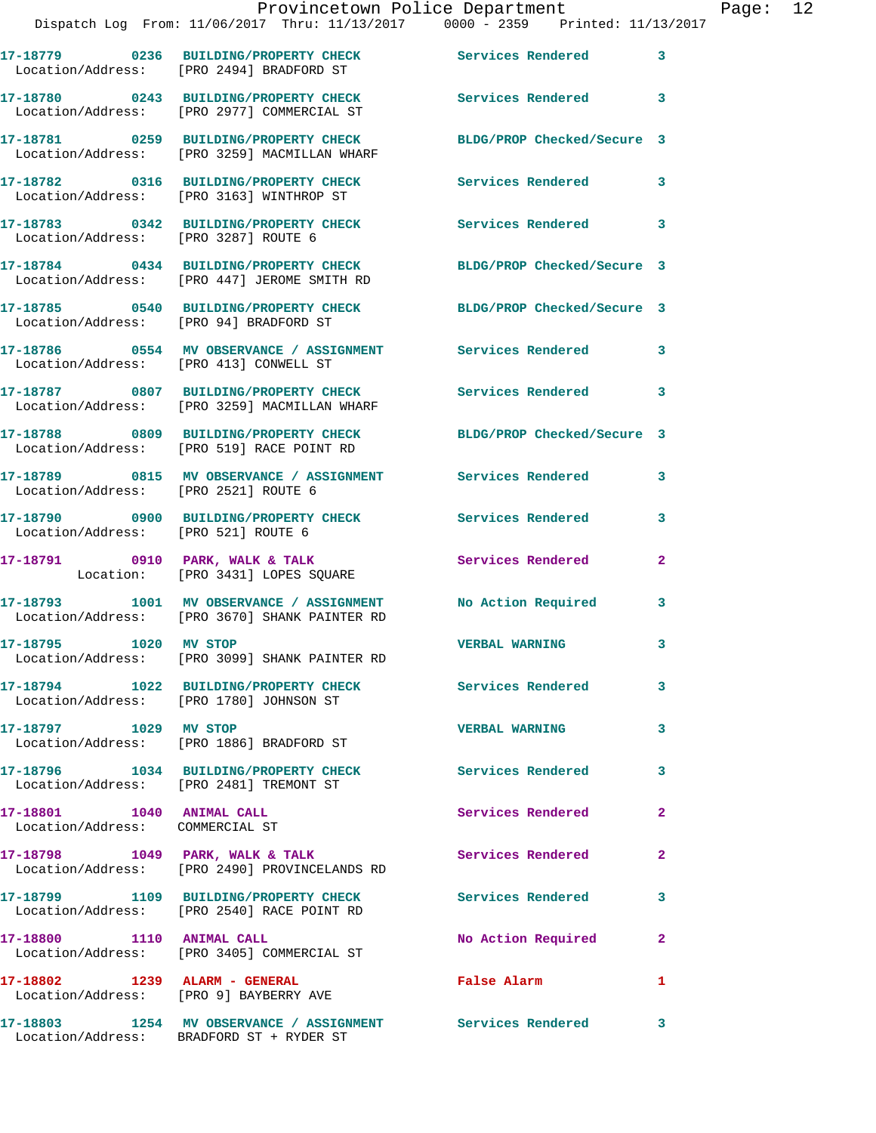|                                                              | 17-18779 0236 BUILDING/PROPERTY CHECK<br>Location/Address: [PRO 2494] BRADFORD ST                            | Services Rendered 3        |                         |
|--------------------------------------------------------------|--------------------------------------------------------------------------------------------------------------|----------------------------|-------------------------|
|                                                              | 17-18780 0243 BUILDING/PROPERTY CHECK<br>Location/Address: [PRO 2977] COMMERCIAL ST                          | Services Rendered 3        |                         |
|                                                              | 17-18781 0259 BUILDING/PROPERTY CHECK<br>Location/Address: [PRO 3259] MACMILLAN WHARF                        | BLDG/PROP Checked/Secure 3 |                         |
|                                                              | 17-18782 0316 BUILDING/PROPERTY CHECK<br>Location/Address: [PRO 3163] WINTHROP ST                            | Services Rendered          | 3                       |
| Location/Address: [PRO 3287] ROUTE 6                         | 17-18783 0342 BUILDING/PROPERTY CHECK                                                                        | Services Rendered 3        |                         |
|                                                              | 17-18784 0434 BUILDING/PROPERTY CHECK<br>Location/Address: [PRO 447] JEROME SMITH RD                         | BLDG/PROP Checked/Secure 3 |                         |
| Location/Address: [PRO 94] BRADFORD ST                       | 17-18785 0540 BUILDING/PROPERTY CHECK                                                                        | BLDG/PROP Checked/Secure 3 |                         |
| Location/Address: [PRO 413] CONWELL ST                       | 17-18786 6 0554 MV OBSERVANCE / ASSIGNMENT Services Rendered                                                 |                            | 3                       |
|                                                              | 17-18787 0807 BUILDING/PROPERTY CHECK Services Rendered 3<br>Location/Address: [PRO 3259] MACMILLAN WHARF    |                            |                         |
|                                                              | 17-18788 0809 BUILDING/PROPERTY CHECK<br>Location/Address: [PRO 519] RACE POINT RD                           | BLDG/PROP Checked/Secure 3 |                         |
| Location/Address: [PRO 2521] ROUTE 6                         | 17-18789 0815 MV OBSERVANCE / ASSIGNMENT Services Rendered                                                   |                            | 3                       |
| Location/Address: [PRO 521] ROUTE 6                          | 17-18790 0900 BUILDING/PROPERTY CHECK                                                                        | Services Rendered          | 3                       |
|                                                              | 17-18791 0910 PARK, WALK & TALK<br>Location: [PRO 3431] LOPES SQUARE                                         | Services Rendered          | $\mathbf{2}$            |
|                                                              | 17-18793 1001 MV OBSERVANCE / ASSIGNMENT No Action Required<br>Location/Address: [PRO 3670] SHANK PAINTER RD |                            | 3                       |
| 17-18795 1020 MV STOP                                        | Location/Address: [PRO 3099] SHANK PAINTER RD                                                                | <b>VERBAL WARNING</b>      | 3                       |
|                                                              | 17-18794 1022 BUILDING/PROPERTY CHECK<br>Location/Address: [PRO 1780] JOHNSON ST                             | Services Rendered          | 3                       |
| 17-18797 1029 MV STOP                                        | Location/Address: [PRO 1886] BRADFORD ST                                                                     | <b>VERBAL WARNING</b>      | $\overline{\mathbf{3}}$ |
| Location/Address: [PRO 2481] TREMONT ST                      | 17-18796 1034 BUILDING/PROPERTY CHECK                                                                        | Services Rendered          | 3                       |
| 17-18801 1040 ANIMAL CALL<br>Location/Address: COMMERCIAL ST |                                                                                                              | Services Rendered          | $\mathbf{2}$            |
|                                                              | 17-18798 1049 PARK, WALK & TALK<br>Location/Address: [PRO 2490] PROVINCELANDS RD                             | Services Rendered          | $\mathbf{2}$            |
|                                                              | 17-18799 1109 BUILDING/PROPERTY CHECK<br>Location/Address: [PRO 2540] RACE POINT RD                          | Services Rendered          | $\overline{\mathbf{3}}$ |
| 17-18800 1110 ANIMAL CALL                                    | Location/Address: [PRO 3405] COMMERCIAL ST                                                                   | No Action Required         | $\mathbf{2}$            |
| 17-18802 1239 ALARM - GENERAL                                | Location/Address: [PRO 9] BAYBERRY AVE                                                                       | False Alarm                | $\mathbf{1}$            |
| 17-18803                                                     | 1254 MV OBSERVANCE / ASSIGNMENT                                                                              | Services Rendered 3        |                         |

Location/Address: BRADFORD ST + RYDER ST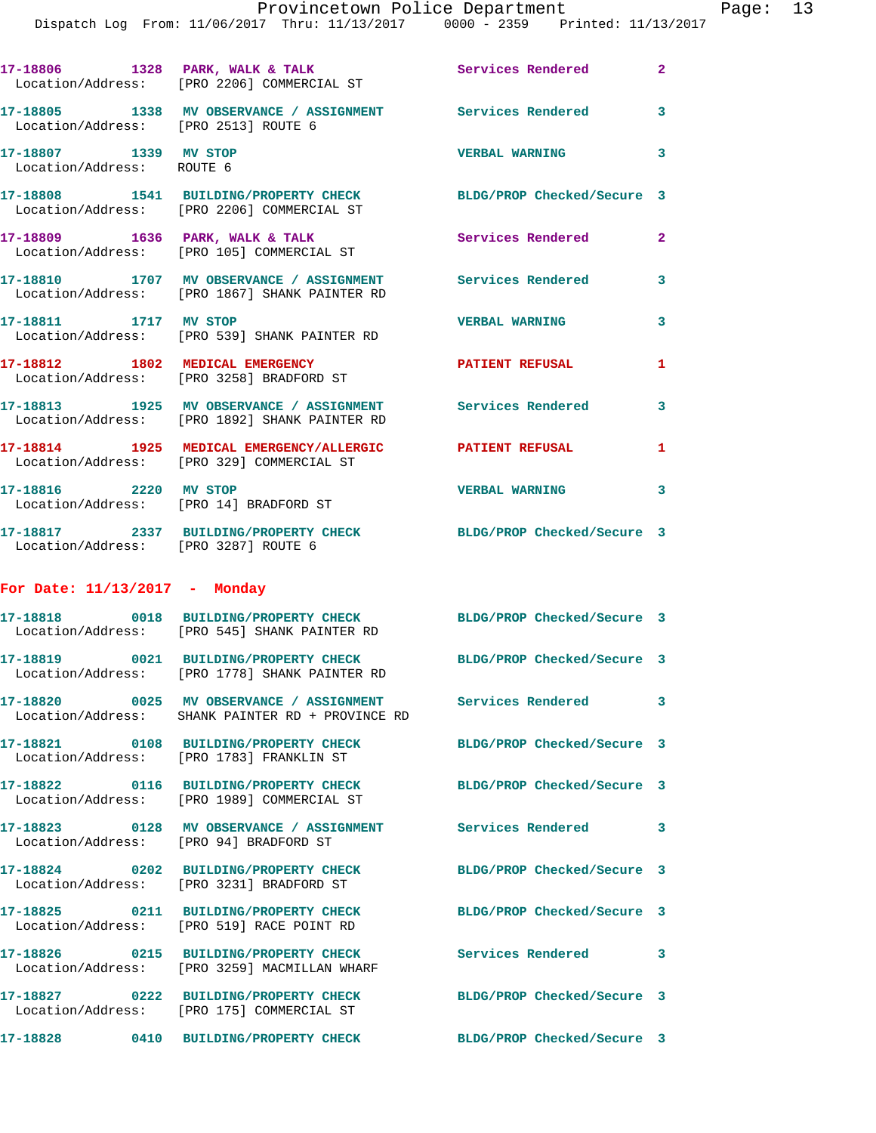|                                                    | Dispatch Log From: 11/06/2017 Thru: 11/13/2017 0000 - 2359 Printed: 11/13/2017                                    |                            |                |
|----------------------------------------------------|-------------------------------------------------------------------------------------------------------------------|----------------------------|----------------|
|                                                    | 17-18806 1328 PARK, WALK & TALK<br>Location/Address: [PRO 2206] COMMERCIAL ST                                     | Services Rendered          | $\overline{a}$ |
| Location/Address: [PRO 2513] ROUTE 6               | 17-18805 1338 MV OBSERVANCE / ASSIGNMENT Services Rendered                                                        |                            | 3              |
| 17-18807 1339 MV STOP<br>Location/Address: ROUTE 6 |                                                                                                                   | <b>VERBAL WARNING</b>      | 3              |
|                                                    | 17-18808 1541 BUILDING/PROPERTY CHECK BLDG/PROP Checked/Secure 3<br>Location/Address: [PRO 2206] COMMERCIAL ST    |                            |                |
|                                                    | 17-18809 1636 PARK, WALK & TALK<br>Location/Address: [PRO 105] COMMERCIAL ST                                      | Services Rendered          | $\overline{a}$ |
|                                                    | 17-18810 1707 MV OBSERVANCE / ASSIGNMENT Services Rendered<br>Location/Address: [PRO 1867] SHANK PAINTER RD       |                            | 3              |
| 17-18811 1717 MV STOP                              | Location/Address: [PRO 539] SHANK PAINTER RD                                                                      | <b>VERBAL WARNING</b>      | 3              |
|                                                    | 17-18812 1802 MEDICAL EMERGENCY<br>Location/Address: [PRO 3258] BRADFORD ST                                       | <b>PATIENT REFUSAL</b>     | 1              |
|                                                    | 17-18813 1925 MV OBSERVANCE / ASSIGNMENT Services Rendered<br>Location/Address: [PRO 1892] SHANK PAINTER RD       |                            | 3              |
|                                                    | 17-18814 1925 MEDICAL EMERGENCY/ALLERGIC PATIENT REFUSAL<br>Location/Address: [PRO 329] COMMERCIAL ST             |                            | 1              |
| 17-18816 2220 MV STOP                              | Location/Address: [PRO 14] BRADFORD ST                                                                            | <b>VERBAL WARNING</b>      | 3              |
| Location/Address: [PRO 3287] ROUTE 6               | 17-18817 2337 BUILDING/PROPERTY CHECK                                                                             | BLDG/PROP Checked/Secure 3 |                |
| For Date: $11/13/2017$ - Monday                    |                                                                                                                   |                            |                |
|                                                    | 17-18818 0018 BUILDING/PROPERTY CHECK BLDG/PROP Checked/Secure 3<br>Location/Address: [PRO 545] SHANK PAINTER RD  |                            |                |
|                                                    | 17-18819 0021 BUILDING/PROPERTY CHECK BLDG/PROP Checked/Secure 3<br>Location/Address: [PRO 1778] SHANK PAINTER RD |                            |                |
|                                                    | 17-18820 0025 MV OBSERVANCE / ASSIGNMENT Services Rendered<br>Location/Address: SHANK PAINTER RD + PROVINCE RD    |                            | 3              |
|                                                    | 17-18821 0108 BUILDING/PROPERTY CHECK BLDG/PROP Checked/Secure 3<br>Location/Address: [PRO 1783] FRANKLIN ST      |                            |                |
|                                                    | 17-18822 0116 BUILDING/PROPERTY CHECK<br>Location/Address: [PRO 1989] COMMERCIAL ST                               | BLDG/PROP Checked/Secure 3 |                |
| Location/Address: [PRO 94] BRADFORD ST             | 17-18823 0128 MV OBSERVANCE / ASSIGNMENT Services Rendered                                                        |                            | 3              |
|                                                    | 17-18824 0202 BUILDING/PROPERTY CHECK<br>Location/Address: [PRO 3231] BRADFORD ST                                 | BLDG/PROP Checked/Secure 3 |                |
|                                                    | 17-18825 0211 BUILDING/PROPERTY CHECK<br>Location/Address: [PRO 519] RACE POINT RD                                | BLDG/PROP Checked/Secure 3 |                |
|                                                    | 17-18826 0215 BUILDING/PROPERTY CHECK<br>Location/Address: [PRO 3259] MACMILLAN WHARF                             | Services Rendered          | 3              |
|                                                    | 17-18827 0222 BUILDING/PROPERTY CHECK<br>Location/Address: [PRO 175] COMMERCIAL ST                                | BLDG/PROP Checked/Secure 3 |                |
|                                                    | 17-18828 0410 BUILDING/PROPERTY CHECK                                                                             | BLDG/PROP Checked/Secure 3 |                |